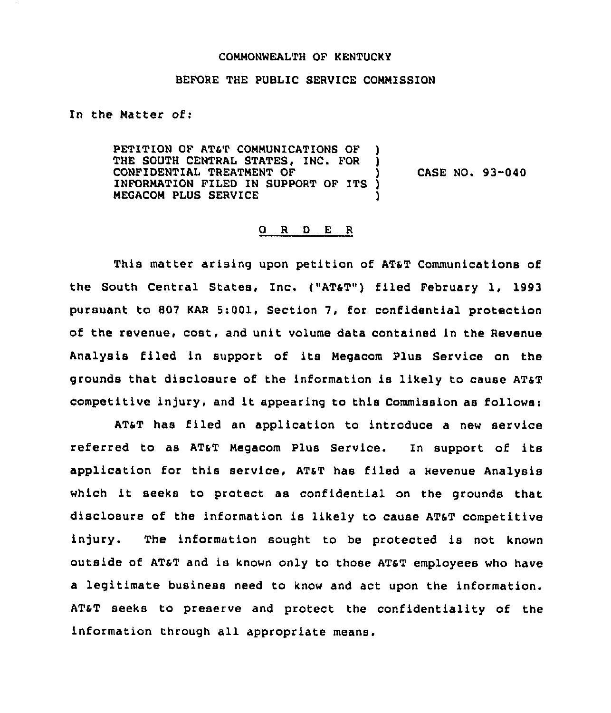## COMMONWEALTH OF KENTUCKY

## BEFORE THE PUBLIC SERVICE COMMISSION

In the Matter of:

PETITION OF AT&T COMMUNICATIONS OF THE SOUTH CENTRAL STATES, INC. FOR CONFIDENTIAL TREATMENT OF (1)<br>INFORMATION FILED IN SUPPORT OF ITS ) INFORMATION FILED IN SUPPORT OF ITS MEGACOM PLUS SERVICE CASE NO. 93-040

## O R D E R

This matter arising upon petition of ATsT Communications of the south central states, Inc. ("ATsT") filed February 1, 1993 pursuant to 807 KAR 5:001, Section 7, for confidential protection of the revenue, cost, and unit volume data contained in the Revenue Analysis filed in support of its Megacom Plus Service on the grounds that disclosure of the information is likely to cause ATaT competitive injury, and it appearing to this Commission as follows:

ATST has filed an application to introduce a new service referred to as AT&T Megacom Plus Service. In support of its application for this service, ATST has filed a Revenue Analysis which it seeks to protect as confidential on the grounds that disclosure of the information is likely to cause ATST competitive injury. The information sought to be protected is not known outside of AT&T and is known only to those ATsT employees who have a legitimate business need to know and act upon the information. ATST seeks to preserve and protect the confidentiality of the information through all appropriate means.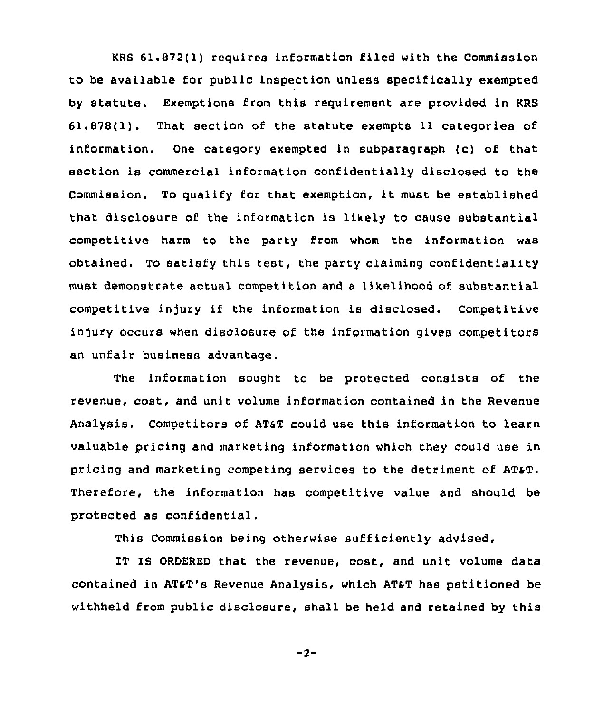KRS 61.872(1) requires information filed with the Commission to be available for public inspection unless specifically exempted by statute. Exemptions from this requirement are provided in KRS 61.878(1). That section of the statute exempts 11 categories of information. One category exempted in subparagraph (c) of that section is commercial information confidentially disclosed to the Commission. To qualify for that exemption, it must be established that disclosure of the information is likely to cause substantial competitive harm to the party from whom the information was obtained. To satisfy this test, the party claiming confidentiality must demonstrate actual competition and a likelihood of substantial competitive injury if the information is disclosed. Competitive injury occurs when disclosure of the information gives competitors an unfair business advantage.

The information sought to be protected consists of the revenue, cost, and unit volume information contained in the Revenue Analysis. Competitors of AT&T could use this information to learn valuable pricing and marketing information which they could use in pricing and marketing competing services to the detriment of ATsT. Therefore, the information has competitive value and should be protected as confidential.

This Commission being otherwise sufficiently advised,

IT IS ORDERED that the revenue, cost, and unit volume data contained in ATST's Revenue Analysis, which ATsT has petitioned be withheld from public disclosure, shall be held and retained by this

 $-2-$